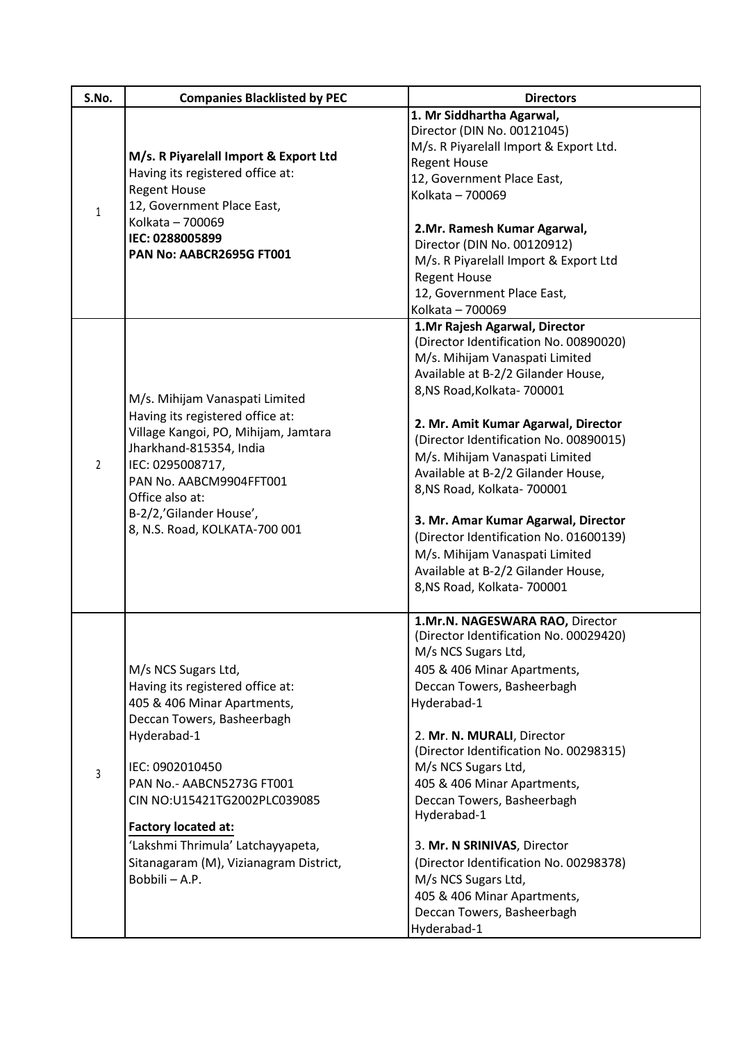| S.No.          | <b>Companies Blacklisted by PEC</b>                                                                                                                                                                                                                                                                                                                | <b>Directors</b>                                                                                                                                                                                                                                                                                                                                                                                                                                                                                                                                              |
|----------------|----------------------------------------------------------------------------------------------------------------------------------------------------------------------------------------------------------------------------------------------------------------------------------------------------------------------------------------------------|---------------------------------------------------------------------------------------------------------------------------------------------------------------------------------------------------------------------------------------------------------------------------------------------------------------------------------------------------------------------------------------------------------------------------------------------------------------------------------------------------------------------------------------------------------------|
| $\mathbf{1}$   | M/s. R Piyarelall Import & Export Ltd<br>Having its registered office at:<br><b>Regent House</b><br>12, Government Place East,<br>Kolkata - 700069<br>IEC: 0288005899<br>PAN No: AABCR2695G FT001                                                                                                                                                  | 1. Mr Siddhartha Agarwal,<br>Director (DIN No. 00121045)<br>M/s. R Piyarelall Import & Export Ltd.<br><b>Regent House</b><br>12, Government Place East,<br>Kolkata - 700069<br>2.Mr. Ramesh Kumar Agarwal,<br>Director (DIN No. 00120912)<br>M/s. R Piyarelall Import & Export Ltd<br><b>Regent House</b><br>12, Government Place East,<br>Kolkata - 700069                                                                                                                                                                                                   |
| $\overline{2}$ | M/s. Mihijam Vanaspati Limited<br>Having its registered office at:<br>Village Kangoi, PO, Mihijam, Jamtara<br>Jharkhand-815354, India<br>IEC: 0295008717,<br>PAN No. AABCM9904FFT001<br>Office also at:<br>B-2/2,'Gilander House',<br>8, N.S. Road, KOLKATA-700 001                                                                                | 1.Mr Rajesh Agarwal, Director<br>(Director Identification No. 00890020)<br>M/s. Mihijam Vanaspati Limited<br>Available at B-2/2 Gilander House,<br>8, NS Road, Kolkata-700001<br>2. Mr. Amit Kumar Agarwal, Director<br>(Director Identification No. 00890015)<br>M/s. Mihijam Vanaspati Limited<br>Available at B-2/2 Gilander House,<br>8, NS Road, Kolkata- 700001<br>3. Mr. Amar Kumar Agarwal, Director<br>(Director Identification No. 01600139)<br>M/s. Mihijam Vanaspati Limited<br>Available at B-2/2 Gilander House,<br>8, NS Road, Kolkata- 700001 |
| 3              | M/s NCS Sugars Ltd,<br>Having its registered office at:<br>405 & 406 Minar Apartments,<br>Deccan Towers, Basheerbagh<br>Hyderabad-1<br>IEC: 0902010450<br>PAN No.- AABCN5273G FT001<br>CIN NO:U15421TG2002PLC039085<br><b>Factory located at:</b><br>'Lakshmi Thrimula' Latchayyapeta,<br>Sitanagaram (M), Vizianagram District,<br>Bobbili - A.P. | 1.Mr.N. NAGESWARA RAO, Director<br>(Director Identification No. 00029420)<br>M/s NCS Sugars Ltd,<br>405 & 406 Minar Apartments,<br>Deccan Towers, Basheerbagh<br>Hyderabad-1<br>2. Mr. N. MURALI, Director<br>(Director Identification No. 00298315)<br>M/s NCS Sugars Ltd,<br>405 & 406 Minar Apartments,<br>Deccan Towers, Basheerbagh<br>Hyderabad-1<br>3. Mr. N SRINIVAS, Director<br>(Director Identification No. 00298378)<br>M/s NCS Sugars Ltd,<br>405 & 406 Minar Apartments,<br>Deccan Towers, Basheerbagh<br>Hyderabad-1                           |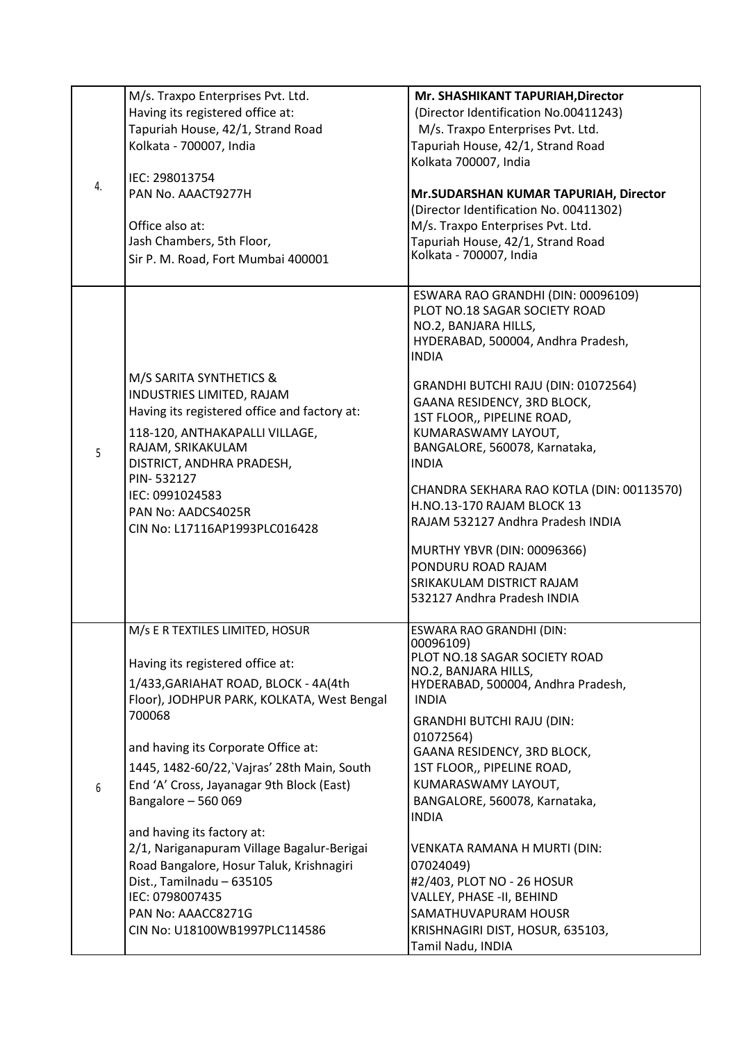| 4. | M/s. Traxpo Enterprises Pvt. Ltd.<br>Having its registered office at:<br>Tapuriah House, 42/1, Strand Road<br>Kolkata - 700007, India<br>IEC: 298013754<br>PAN No. AAACT9277H<br>Office also at:<br>Jash Chambers, 5th Floor,<br>Sir P. M. Road, Fort Mumbai 400001                                                                                                                                                                                                                                                                                         | Mr. SHASHIKANT TAPURIAH, Director<br>(Director Identification No.00411243)<br>M/s. Traxpo Enterprises Pvt. Ltd.<br>Tapuriah House, 42/1, Strand Road<br>Kolkata 700007, India<br>Mr.SUDARSHAN KUMAR TAPURIAH, Director<br>(Director Identification No. 00411302)<br>M/s. Traxpo Enterprises Pvt. Ltd.<br>Tapuriah House, 42/1, Strand Road<br>Kolkata - 700007, India                                                                                                                                                                                                        |
|----|-------------------------------------------------------------------------------------------------------------------------------------------------------------------------------------------------------------------------------------------------------------------------------------------------------------------------------------------------------------------------------------------------------------------------------------------------------------------------------------------------------------------------------------------------------------|------------------------------------------------------------------------------------------------------------------------------------------------------------------------------------------------------------------------------------------------------------------------------------------------------------------------------------------------------------------------------------------------------------------------------------------------------------------------------------------------------------------------------------------------------------------------------|
| 5  | M/S SARITA SYNTHETICS &<br>INDUSTRIES LIMITED, RAJAM<br>Having its registered office and factory at:<br>118-120, ANTHAKAPALLI VILLAGE,<br>RAJAM, SRIKAKULAM<br>DISTRICT, ANDHRA PRADESH,<br>PIN-532127<br>IEC: 0991024583<br>PAN No: AADCS4025R<br>CIN No: L17116AP1993PLC016428                                                                                                                                                                                                                                                                            | ESWARA RAO GRANDHI (DIN: 00096109)<br>PLOT NO.18 SAGAR SOCIETY ROAD<br>NO.2, BANJARA HILLS,<br>HYDERABAD, 500004, Andhra Pradesh,<br><b>INDIA</b><br>GRANDHI BUTCHI RAJU (DIN: 01072564)<br>GAANA RESIDENCY, 3RD BLOCK,<br>1ST FLOOR,, PIPELINE ROAD,<br>KUMARASWAMY LAYOUT,<br>BANGALORE, 560078, Karnataka,<br><b>INDIA</b><br>CHANDRA SEKHARA RAO KOTLA (DIN: 00113570)<br><b>H.NO.13-170 RAJAM BLOCK 13</b><br>RAJAM 532127 Andhra Pradesh INDIA<br>MURTHY YBVR (DIN: 00096366)<br>PONDURU ROAD RAJAM<br><b>SRIKAKULAM DISTRICT RAJAM</b><br>532127 Andhra Pradesh INDIA |
| 6  | M/s E R TEXTILES LIMITED, HOSUR<br>Having its registered office at:<br>1/433, GARIAHAT ROAD, BLOCK - 4A(4th<br>Floor), JODHPUR PARK, KOLKATA, West Bengal<br>700068<br>and having its Corporate Office at:<br>1445, 1482-60/22, Vajras' 28th Main, South<br>End 'A' Cross, Jayanagar 9th Block (East)<br>Bangalore - 560 069<br>and having its factory at:<br>2/1, Nariganapuram Village Bagalur-Berigai<br>Road Bangalore, Hosur Taluk, Krishnagiri<br>Dist., Tamilnadu - 635105<br>IEC: 0798007435<br>PAN No: AAACC8271G<br>CIN No: U18100WB1997PLC114586 | ESWARA RAO GRANDHI (DIN:<br>00096109)<br>PLOT NO.18 SAGAR SOCIETY ROAD<br>NO.2, BANJARA HILLS,<br>HYDERABAD, 500004, Andhra Pradesh,<br><b>INDIA</b><br><b>GRANDHI BUTCHI RAJU (DIN:</b><br>01072564)<br>GAANA RESIDENCY, 3RD BLOCK,<br>1ST FLOOR,, PIPELINE ROAD,<br>KUMARASWAMY LAYOUT,<br>BANGALORE, 560078, Karnataka,<br><b>INDIA</b><br>VENKATA RAMANA H MURTI (DIN:<br>07024049)<br>#2/403, PLOT NO - 26 HOSUR<br>VALLEY, PHASE -II, BEHIND<br><b>SAMATHUVAPURAM HOUSR</b><br>KRISHNAGIRI DIST, HOSUR, 635103,<br>Tamil Nadu, INDIA                                   |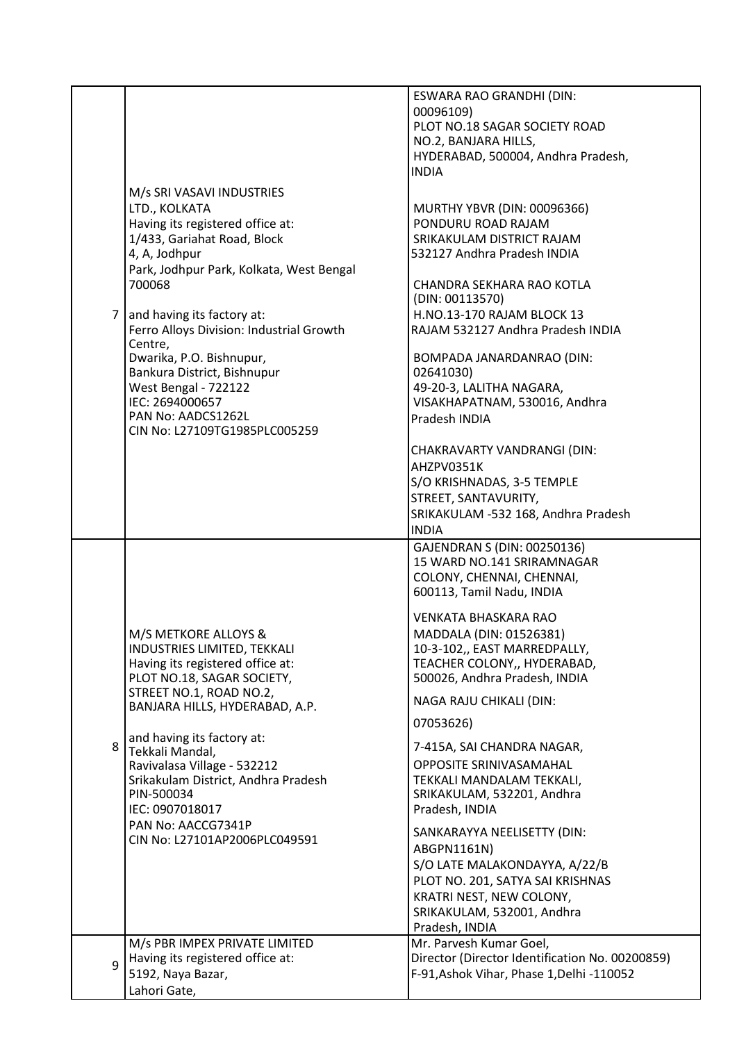|   |                                                                                                                                                                                                                                                                                                                                                                                                                                        | ESWARA RAO GRANDHI (DIN:<br>00096109)<br>PLOT NO.18 SAGAR SOCIETY ROAD<br>NO.2, BANJARA HILLS,<br>HYDERABAD, 500004, Andhra Pradesh,<br><b>INDIA</b>                                                                                                                                                                                                                                                                                                                                                                                                                                                                                                       |
|---|----------------------------------------------------------------------------------------------------------------------------------------------------------------------------------------------------------------------------------------------------------------------------------------------------------------------------------------------------------------------------------------------------------------------------------------|------------------------------------------------------------------------------------------------------------------------------------------------------------------------------------------------------------------------------------------------------------------------------------------------------------------------------------------------------------------------------------------------------------------------------------------------------------------------------------------------------------------------------------------------------------------------------------------------------------------------------------------------------------|
| 7 | M/s SRI VASAVI INDUSTRIES<br>LTD., KOLKATA<br>Having its registered office at:<br>1/433, Gariahat Road, Block<br>4, A, Jodhpur<br>Park, Jodhpur Park, Kolkata, West Bengal<br>700068<br>and having its factory at:<br>Ferro Alloys Division: Industrial Growth<br>Centre,<br>Dwarika, P.O. Bishnupur,<br>Bankura District, Bishnupur<br>West Bengal - 722122<br>IEC: 2694000657<br>PAN No: AADCS1262L<br>CIN No: L27109TG1985PLC005259 | MURTHY YBVR (DIN: 00096366)<br>PONDURU ROAD RAJAM<br>SRIKAKULAM DISTRICT RAJAM<br>532127 Andhra Pradesh INDIA<br>CHANDRA SEKHARA RAO KOTLA<br>(DIN: 00113570)<br>H.NO.13-170 RAJAM BLOCK 13<br>RAJAM 532127 Andhra Pradesh INDIA<br>BOMPADA JANARDANRAO (DIN:<br>02641030)<br>49-20-3, LALITHA NAGARA,<br>VISAKHAPATNAM, 530016, Andhra<br>Pradesh INDIA<br>CHAKRAVARTY VANDRANGI (DIN:<br>AHZPV0351K<br>S/O KRISHNADAS, 3-5 TEMPLE<br>STREET, SANTAVURITY,<br>SRIKAKULAM -532 168, Andhra Pradesh<br><b>INDIA</b>                                                                                                                                         |
| 8 | M/S METKORE ALLOYS &<br>INDUSTRIES LIMITED, TEKKALI<br>Having its registered office at:<br>PLOT NO.18, SAGAR SOCIETY,<br>STREET NO.1, ROAD NO.2,<br>BANJARA HILLS, HYDERABAD, A.P.<br>and having its factory at:<br>Tekkali Mandal,<br>Ravivalasa Village - 532212<br>Srikakulam District, Andhra Pradesh<br>PIN-500034<br>IEC: 0907018017<br>PAN No: AACCG7341P<br>CIN No: L27101AP2006PLC049591                                      | GAJENDRAN S (DIN: 00250136)<br>15 WARD NO.141 SRIRAMNAGAR<br>COLONY, CHENNAI, CHENNAI,<br>600113, Tamil Nadu, INDIA<br><b>VENKATA BHASKARA RAO</b><br>MADDALA (DIN: 01526381)<br>10-3-102,, EAST MARREDPALLY,<br>TEACHER COLONY,, HYDERABAD,<br>500026, Andhra Pradesh, INDIA<br>NAGA RAJU CHIKALI (DIN:<br>07053626)<br>7-415A, SAI CHANDRA NAGAR,<br>OPPOSITE SRINIVASAMAHAL<br>TEKKALI MANDALAM TEKKALI,<br>SRIKAKULAM, 532201, Andhra<br>Pradesh, INDIA<br>SANKARAYYA NEELISETTY (DIN:<br>ABGPN1161N)<br>S/O LATE MALAKONDAYYA, A/22/B<br>PLOT NO. 201, SATYA SAI KRISHNAS<br>KRATRI NEST, NEW COLONY,<br>SRIKAKULAM, 532001, Andhra<br>Pradesh, INDIA |
| 9 | M/s PBR IMPEX PRIVATE LIMITED<br>Having its registered office at:<br>5192, Naya Bazar,<br>Lahori Gate,                                                                                                                                                                                                                                                                                                                                 | Mr. Parvesh Kumar Goel,<br>Director (Director Identification No. 00200859)<br>F-91, Ashok Vihar, Phase 1, Delhi -110052                                                                                                                                                                                                                                                                                                                                                                                                                                                                                                                                    |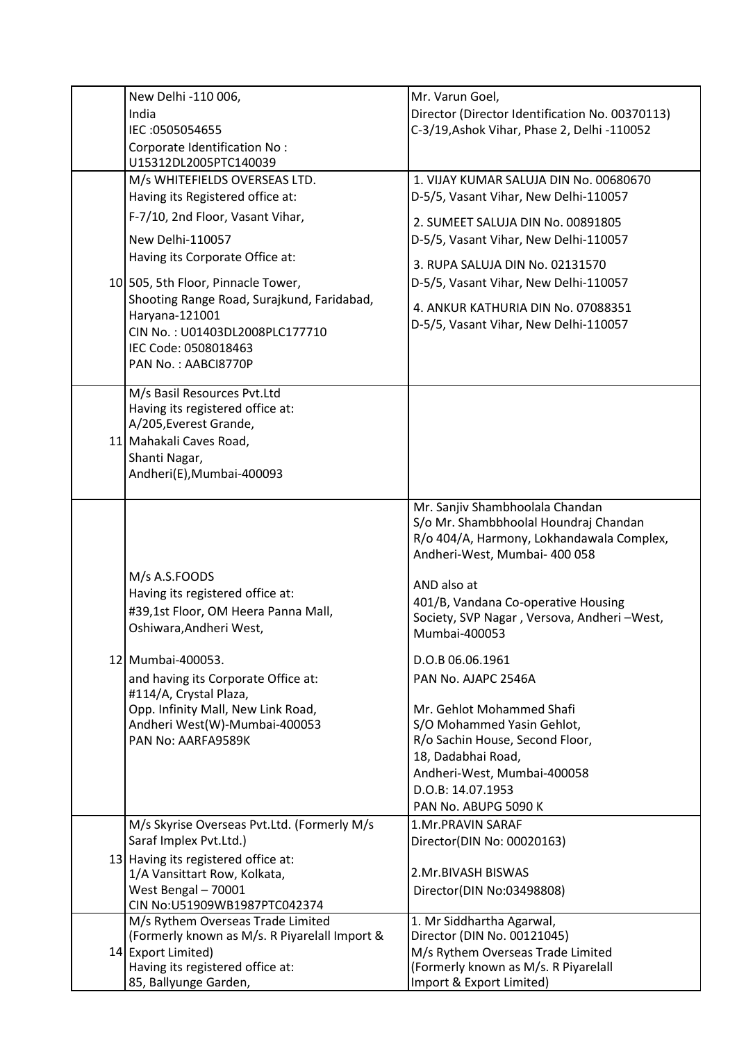| New Delhi -110 006,                                                     | Mr. Varun Goel,                                                                 |
|-------------------------------------------------------------------------|---------------------------------------------------------------------------------|
| India                                                                   | Director (Director Identification No. 00370113)                                 |
| IEC: 0505054655                                                         | C-3/19, Ashok Vihar, Phase 2, Delhi -110052                                     |
| Corporate Identification No:                                            |                                                                                 |
| U15312DL2005PTC140039                                                   |                                                                                 |
| M/s WHITEFIELDS OVERSEAS LTD.<br>Having its Registered office at:       | 1. VIJAY KUMAR SALUJA DIN No. 00680670<br>D-5/5, Vasant Vihar, New Delhi-110057 |
| F-7/10, 2nd Floor, Vasant Vihar,                                        | 2. SUMEET SALUJA DIN No. 00891805                                               |
| New Delhi-110057                                                        | D-5/5, Vasant Vihar, New Delhi-110057                                           |
| Having its Corporate Office at:                                         | 3. RUPA SALUJA DIN No. 02131570                                                 |
| 10 505, 5th Floor, Pinnacle Tower,                                      | D-5/5, Vasant Vihar, New Delhi-110057                                           |
| Shooting Range Road, Surajkund, Faridabad,                              | 4. ANKUR KATHURIA DIN No. 07088351                                              |
| Haryana-121001                                                          | D-5/5, Vasant Vihar, New Delhi-110057                                           |
| CIN No.: U01403DL2008PLC177710                                          |                                                                                 |
| IEC Code: 0508018463<br>PAN No.: AABCI8770P                             |                                                                                 |
|                                                                         |                                                                                 |
| M/s Basil Resources Pvt.Ltd                                             |                                                                                 |
| Having its registered office at:                                        |                                                                                 |
| A/205, Everest Grande,<br>11 Mahakali Caves Road,                       |                                                                                 |
| Shanti Nagar,                                                           |                                                                                 |
| Andheri(E), Mumbai-400093                                               |                                                                                 |
|                                                                         |                                                                                 |
|                                                                         | Mr. Sanjiv Shambhoolala Chandan                                                 |
|                                                                         | S/o Mr. Shambbhoolal Houndraj Chandan                                           |
|                                                                         | R/o 404/A, Harmony, Lokhandawala Complex,<br>Andheri-West, Mumbai- 400 058      |
|                                                                         |                                                                                 |
| M/s A.S.FOODS                                                           | AND also at                                                                     |
| Having its registered office at:<br>#39,1st Floor, OM Heera Panna Mall, | 401/B, Vandana Co-operative Housing                                             |
| Oshiwara, Andheri West,                                                 | Society, SVP Nagar, Versova, Andheri-West,                                      |
|                                                                         | Mumbai-400053                                                                   |
| 12 Mumbai-400053.                                                       | D.O.B 06.06.1961                                                                |
| and having its Corporate Office at:<br>#114/A, Crystal Plaza,           | PAN No. AJAPC 2546A                                                             |
| Opp. Infinity Mall, New Link Road,                                      | Mr. Gehlot Mohammed Shafi                                                       |
| Andheri West(W)-Mumbai-400053                                           | S/O Mohammed Yasin Gehlot,                                                      |
| PAN No: AARFA9589K                                                      | R/o Sachin House, Second Floor,                                                 |
|                                                                         | 18, Dadabhai Road,                                                              |
|                                                                         | Andheri-West, Mumbai-400058                                                     |
|                                                                         | D.O.B: 14.07.1953<br>PAN No. ABUPG 5090 K                                       |
| M/s Skyrise Overseas Pvt.Ltd. (Formerly M/s                             | <b>1.Mr.PRAVIN SARAF</b>                                                        |
| Saraf Implex Pvt.Ltd.)                                                  | Director(DIN No: 00020163)                                                      |
| 13 Having its registered office at:                                     |                                                                                 |
| 1/A Vansittart Row, Kolkata,                                            | 2.Mr.BIVASH BISWAS                                                              |
| West Bengal - 70001<br>CIN No:U51909WB1987PTC042374                     | Director(DIN No:03498808)                                                       |
| M/s Rythem Overseas Trade Limited                                       | 1. Mr Siddhartha Agarwal,                                                       |
| (Formerly known as M/s. R Piyarelall Import &                           | Director (DIN No. 00121045)                                                     |
| 14 Export Limited)                                                      | M/s Rythem Overseas Trade Limited                                               |
| Having its registered office at:                                        | (Formerly known as M/s. R Piyarelall                                            |
| 85, Ballyunge Garden,                                                   | Import & Export Limited)                                                        |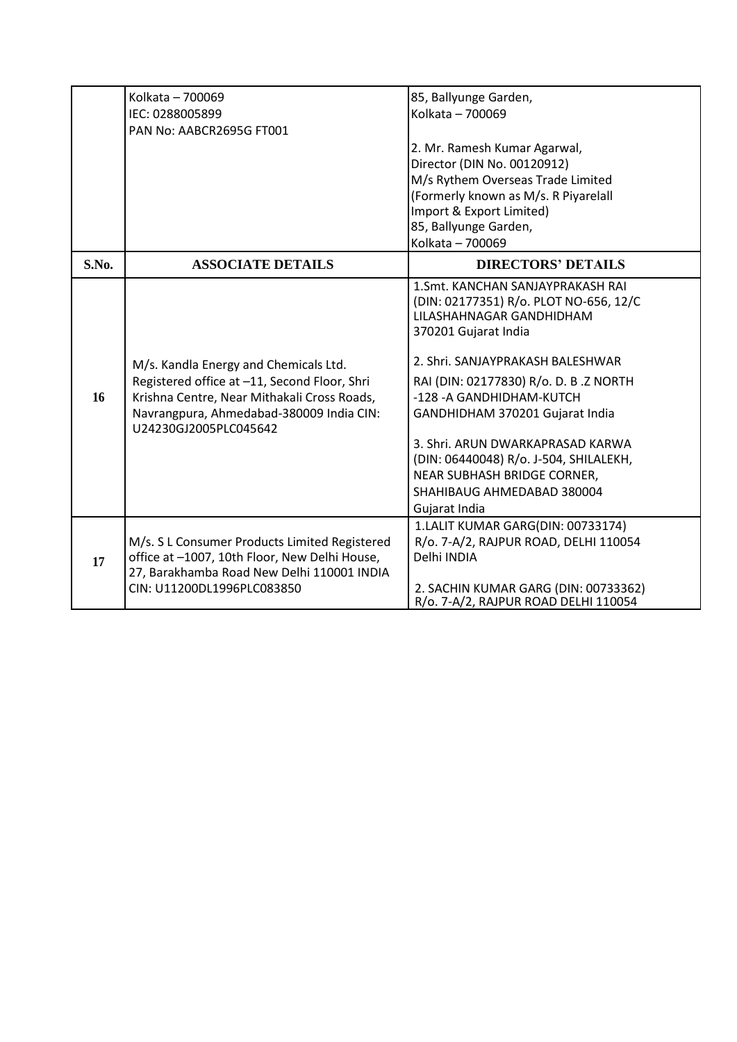|       | Kolkata - 700069                                                  | 85, Ballyunge Garden,                                                                                                           |
|-------|-------------------------------------------------------------------|---------------------------------------------------------------------------------------------------------------------------------|
|       | IEC: 0288005899                                                   | Kolkata - 700069                                                                                                                |
|       | PAN No: AABCR2695G FT001                                          |                                                                                                                                 |
|       |                                                                   | 2. Mr. Ramesh Kumar Agarwal,                                                                                                    |
|       |                                                                   | Director (DIN No. 00120912)                                                                                                     |
|       |                                                                   | M/s Rythem Overseas Trade Limited                                                                                               |
|       |                                                                   | (Formerly known as M/s. R Piyarelall                                                                                            |
|       |                                                                   | Import & Export Limited)                                                                                                        |
|       |                                                                   | 85, Ballyunge Garden,                                                                                                           |
|       |                                                                   | Kolkata - 700069                                                                                                                |
| S.No. | <b>ASSOCIATE DETAILS</b>                                          | <b>DIRECTORS' DETAILS</b>                                                                                                       |
|       |                                                                   | 1. Smt. KANCHAN SANJAYPRAKASH RAI<br>(DIN: 02177351) R/o. PLOT NO-656, 12/C<br>LILASHAHNAGAR GANDHIDHAM<br>370201 Gujarat India |
|       | M/s. Kandla Energy and Chemicals Ltd.                             | 2. Shri. SANJAYPRAKASH BALESHWAR                                                                                                |
|       | Registered office at -11, Second Floor, Shri                      | RAI (DIN: 02177830) R/o. D. B.Z NORTH                                                                                           |
| 16    | Krishna Centre, Near Mithakali Cross Roads,                       | -128 - A GANDHIDHAM-KUTCH                                                                                                       |
|       | Navrangpura, Ahmedabad-380009 India CIN:<br>U24230GJ2005PLC045642 | GANDHIDHAM 370201 Gujarat India                                                                                                 |
|       |                                                                   | 3. Shri. ARUN DWARKAPRASAD KARWA                                                                                                |
|       |                                                                   | (DIN: 06440048) R/o. J-504, SHILALEKH,                                                                                          |
|       |                                                                   | NEAR SUBHASH BRIDGE CORNER,                                                                                                     |
|       |                                                                   | SHAHIBAUG AHMEDABAD 380004                                                                                                      |
|       |                                                                   | Gujarat India                                                                                                                   |
|       |                                                                   | 1.LALIT KUMAR GARG(DIN: 00733174)                                                                                               |
|       | M/s. S L Consumer Products Limited Registered                     | R/o. 7-A/2, RAJPUR ROAD, DELHI 110054                                                                                           |
| 17    | office at -1007, 10th Floor, New Delhi House,                     | Delhi INDIA                                                                                                                     |
|       | 27, Barakhamba Road New Delhi 110001 INDIA                        |                                                                                                                                 |
|       | CIN: U11200DL1996PLC083850                                        | 2. SACHIN KUMAR GARG (DIN: 00733362)<br>R/o. 7-A/2, RAJPUR ROAD DELHI 110054                                                    |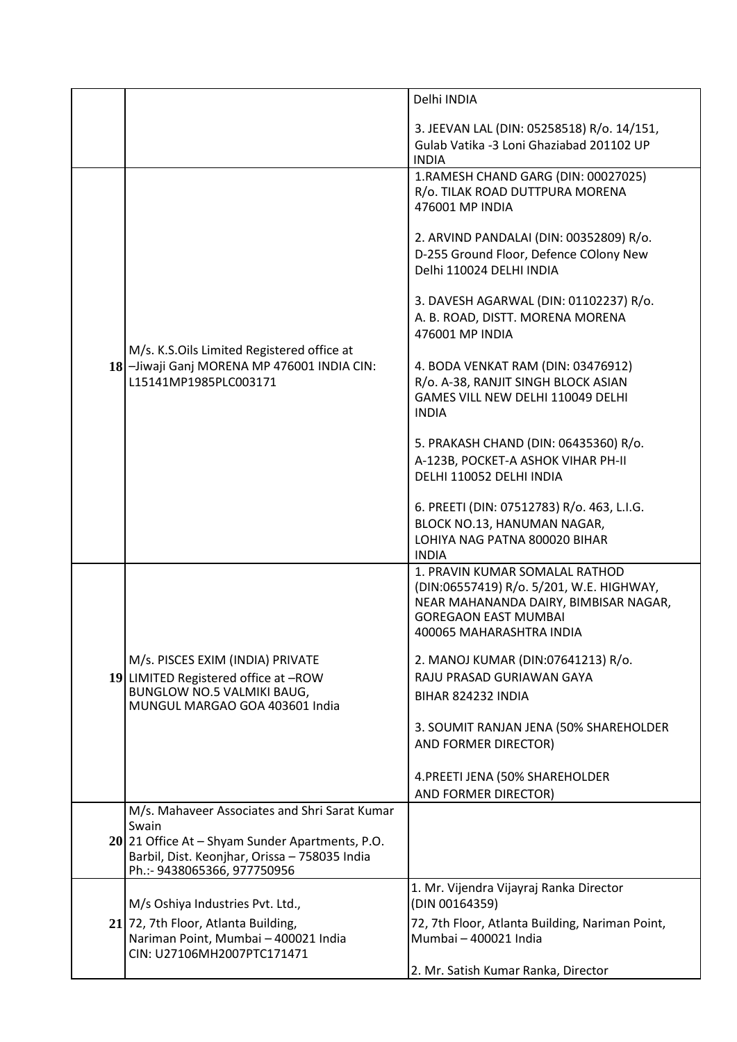|  |                                                                                                                                                                                           | Delhi INDIA                                                                                                                                                                    |
|--|-------------------------------------------------------------------------------------------------------------------------------------------------------------------------------------------|--------------------------------------------------------------------------------------------------------------------------------------------------------------------------------|
|  |                                                                                                                                                                                           | 3. JEEVAN LAL (DIN: 05258518) R/o. 14/151,<br>Gulab Vatika -3 Loni Ghaziabad 201102 UP<br><b>INDIA</b>                                                                         |
|  |                                                                                                                                                                                           | 1.RAMESH CHAND GARG (DIN: 00027025)<br>R/o. TILAK ROAD DUTTPURA MORENA<br>476001 MP INDIA                                                                                      |
|  | M/s. K.S.Oils Limited Registered office at<br>18-Jiwaji Ganj MORENA MP 476001 INDIA CIN:<br>L15141MP1985PLC003171                                                                         | 2. ARVIND PANDALAI (DIN: 00352809) R/o.<br>D-255 Ground Floor, Defence COlony New<br>Delhi 110024 DELHI INDIA                                                                  |
|  |                                                                                                                                                                                           | 3. DAVESH AGARWAL (DIN: 01102237) R/o.<br>A. B. ROAD, DISTT. MORENA MORENA<br>476001 MP INDIA                                                                                  |
|  |                                                                                                                                                                                           | 4. BODA VENKAT RAM (DIN: 03476912)<br>R/o. A-38, RANJIT SINGH BLOCK ASIAN<br>GAMES VILL NEW DELHI 110049 DELHI<br><b>INDIA</b>                                                 |
|  |                                                                                                                                                                                           | 5. PRAKASH CHAND (DIN: 06435360) R/o.<br>A-123B, POCKET-A ASHOK VIHAR PH-II<br>DELHI 110052 DELHI INDIA                                                                        |
|  |                                                                                                                                                                                           | 6. PREETI (DIN: 07512783) R/o. 463, L.I.G.<br>BLOCK NO.13, HANUMAN NAGAR,<br>LOHIYA NAG PATNA 800020 BIHAR<br><b>INDIA</b>                                                     |
|  |                                                                                                                                                                                           | 1. PRAVIN KUMAR SOMALAL RATHOD<br>(DIN:06557419) R/o. 5/201, W.E. HIGHWAY,<br>NEAR MAHANANDA DAIRY, BIMBISAR NAGAR,<br><b>GOREGAON EAST MUMBAI</b><br>400065 MAHARASHTRA INDIA |
|  | M/s. PISCES EXIM (INDIA) PRIVATE<br>19 LIMITED Registered office at -ROW<br>BUNGLOW NO.5 VALMIKI BAUG,<br>MUNGUL MARGAO GOA 403601 India                                                  | 2. MANOJ KUMAR (DIN:07641213) R/o.<br>RAJU PRASAD GURIAWAN GAYA<br>BIHAR 824232 INDIA                                                                                          |
|  |                                                                                                                                                                                           | 3. SOUMIT RANJAN JENA (50% SHAREHOLDER<br>AND FORMER DIRECTOR)                                                                                                                 |
|  |                                                                                                                                                                                           | 4. PREETI JENA (50% SHAREHOLDER<br>AND FORMER DIRECTOR)                                                                                                                        |
|  | M/s. Mahaveer Associates and Shri Sarat Kumar<br>Swain<br>20 21 Office At - Shyam Sunder Apartments, P.O.<br>Barbil, Dist. Keonjhar, Orissa - 758035 India<br>Ph.:- 9438065366, 977750956 |                                                                                                                                                                                |
|  | M/s Oshiya Industries Pvt. Ltd.,                                                                                                                                                          | 1. Mr. Vijendra Vijayraj Ranka Director<br>(DIN 00164359)                                                                                                                      |
|  | 21 72, 7th Floor, Atlanta Building,<br>Nariman Point, Mumbai - 400021 India<br>CIN: U27106MH2007PTC171471                                                                                 | 72, 7th Floor, Atlanta Building, Nariman Point,<br>Mumbai - 400021 India                                                                                                       |
|  |                                                                                                                                                                                           | 2. Mr. Satish Kumar Ranka, Director                                                                                                                                            |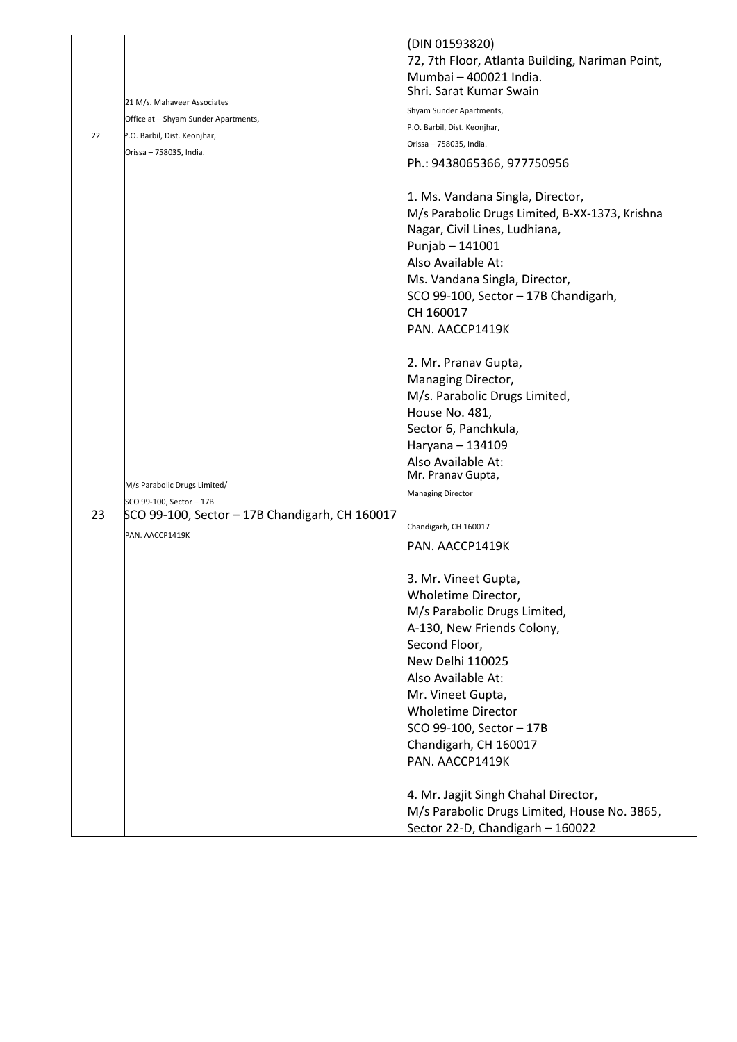|    |                                                | (DIN 01593820)                                  |
|----|------------------------------------------------|-------------------------------------------------|
|    |                                                | 72, 7th Floor, Atlanta Building, Nariman Point, |
|    |                                                | Mumbai - 400021 India.                          |
|    |                                                | Shri. Sarat Kumar Swain                         |
|    | 21 M/s. Mahaveer Associates                    | Shyam Sunder Apartments,                        |
|    | Office at – Shyam Sunder Apartments,           | P.O. Barbil, Dist. Keonjhar,                    |
| 22 | P.O. Barbil, Dist. Keonjhar,                   | Orissa - 758035, India.                         |
|    | Orissa - 758035, India.                        | Ph.: 9438065366, 977750956                      |
|    |                                                |                                                 |
|    |                                                | 1. Ms. Vandana Singla, Director,                |
|    |                                                | M/s Parabolic Drugs Limited, B-XX-1373, Krishna |
|    |                                                | Nagar, Civil Lines, Ludhiana,                   |
|    |                                                | Punjab - 141001                                 |
|    |                                                | Also Available At:                              |
|    |                                                | Ms. Vandana Singla, Director,                   |
|    |                                                | SCO 99-100, Sector - 17B Chandigarh,            |
|    |                                                | CH 160017                                       |
|    |                                                | PAN. AACCP1419K                                 |
|    |                                                |                                                 |
|    |                                                | 2. Mr. Pranav Gupta,                            |
|    |                                                | Managing Director,                              |
|    |                                                | M/s. Parabolic Drugs Limited,                   |
|    |                                                | House No. 481,                                  |
|    |                                                | Sector 6, Panchkula,                            |
|    |                                                | Haryana - 134109                                |
|    |                                                | Also Available At:                              |
|    | M/s Parabolic Drugs Limited/                   | Mr. Pranav Gupta,                               |
|    | SCO 99-100, Sector - 17B                       | <b>Managing Director</b>                        |
| 23 | SCO 99-100, Sector - 17B Chandigarh, CH 160017 |                                                 |
|    | PAN. AACCP1419K                                | Chandigarh, CH 160017                           |
|    |                                                | IPAN. AACCP1419K                                |
|    |                                                |                                                 |
|    |                                                | 3. Mr. Vineet Gupta,                            |
|    |                                                | Wholetime Director,                             |
|    |                                                | M/s Parabolic Drugs Limited,                    |
|    |                                                | A-130, New Friends Colony,                      |
|    |                                                | Second Floor,                                   |
|    |                                                | New Delhi 110025<br>Also Available At:          |
|    |                                                |                                                 |
|    |                                                | Mr. Vineet Gupta,                               |
|    |                                                | <b>Wholetime Director</b>                       |
|    |                                                | SCO 99-100, Sector - 17B                        |
|    |                                                | Chandigarh, CH 160017                           |
|    |                                                | PAN. AACCP1419K                                 |
|    |                                                | 4. Mr. Jagjit Singh Chahal Director,            |
|    |                                                | M/s Parabolic Drugs Limited, House No. 3865,    |
|    |                                                | Sector 22-D, Chandigarh - 160022                |
|    |                                                |                                                 |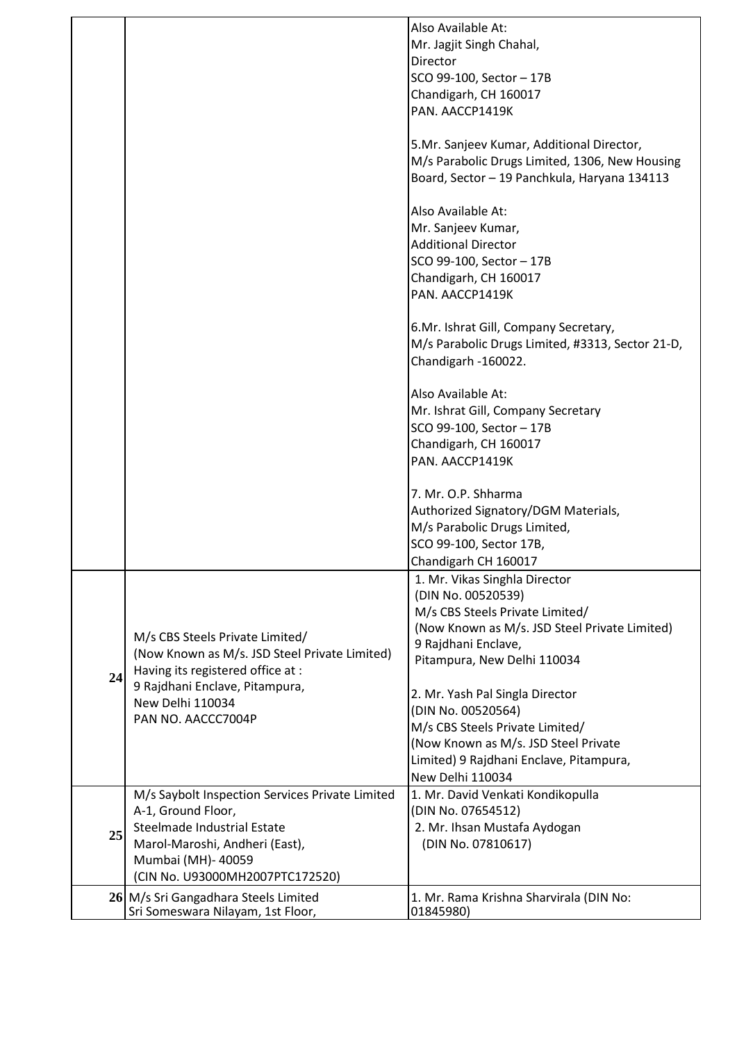|    |                                                                                                                                                                                                 | Also Available At:<br>Mr. Jagjit Singh Chahal,<br>Director<br>SCO 99-100, Sector - 17B<br>Chandigarh, CH 160017<br>PAN. AACCP1419K<br>5.Mr. Sanjeev Kumar, Additional Director,                 |
|----|-------------------------------------------------------------------------------------------------------------------------------------------------------------------------------------------------|-------------------------------------------------------------------------------------------------------------------------------------------------------------------------------------------------|
|    |                                                                                                                                                                                                 | M/s Parabolic Drugs Limited, 1306, New Housing<br>Board, Sector - 19 Panchkula, Haryana 134113                                                                                                  |
|    |                                                                                                                                                                                                 | Also Available At:<br>Mr. Sanjeev Kumar,<br><b>Additional Director</b><br>SCO 99-100, Sector - 17B<br>Chandigarh, CH 160017<br>PAN. AACCP1419K                                                  |
|    |                                                                                                                                                                                                 | 6.Mr. Ishrat Gill, Company Secretary,<br>M/s Parabolic Drugs Limited, #3313, Sector 21-D,<br>Chandigarh -160022.                                                                                |
|    |                                                                                                                                                                                                 | Also Available At:<br>Mr. Ishrat Gill, Company Secretary<br>SCO 99-100, Sector - 17B<br>Chandigarh, CH 160017<br>PAN. AACCP1419K                                                                |
|    |                                                                                                                                                                                                 | 7. Mr. O.P. Shharma<br>Authorized Signatory/DGM Materials,<br>M/s Parabolic Drugs Limited,<br>SCO 99-100, Sector 17B,<br>Chandigarh CH 160017                                                   |
| 24 | M/s CBS Steels Private Limited/<br>(Now Known as M/s. JSD Steel Private Limited)<br>Having its registered office at :                                                                           | 1. Mr. Vikas Singhla Director<br>(DIN No. 00520539)<br>M/s CBS Steels Private Limited/<br>(Now Known as M/s. JSD Steel Private Limited)<br>9 Rajdhani Enclave,<br>Pitampura, New Delhi 110034   |
|    | 9 Rajdhani Enclave, Pitampura,<br>New Delhi 110034<br>PAN NO. AACCC7004P                                                                                                                        | 2. Mr. Yash Pal Singla Director<br>(DIN No. 00520564)<br>M/s CBS Steels Private Limited/<br>(Now Known as M/s. JSD Steel Private<br>Limited) 9 Rajdhani Enclave, Pitampura,<br>New Delhi 110034 |
| 25 | M/s Saybolt Inspection Services Private Limited<br>A-1, Ground Floor,<br>Steelmade Industrial Estate<br>Marol-Maroshi, Andheri (East),<br>Mumbai (MH)- 40059<br>(CIN No. U93000MH2007PTC172520) | 1. Mr. David Venkati Kondikopulla<br>(DIN No. 07654512)<br>2. Mr. Ihsan Mustafa Aydogan<br>(DIN No. 07810617)                                                                                   |
|    | 26 M/s Sri Gangadhara Steels Limited<br>Sri Someswara Nilayam, 1st Floor,                                                                                                                       | 1. Mr. Rama Krishna Sharvirala (DIN No:<br>01845980)                                                                                                                                            |